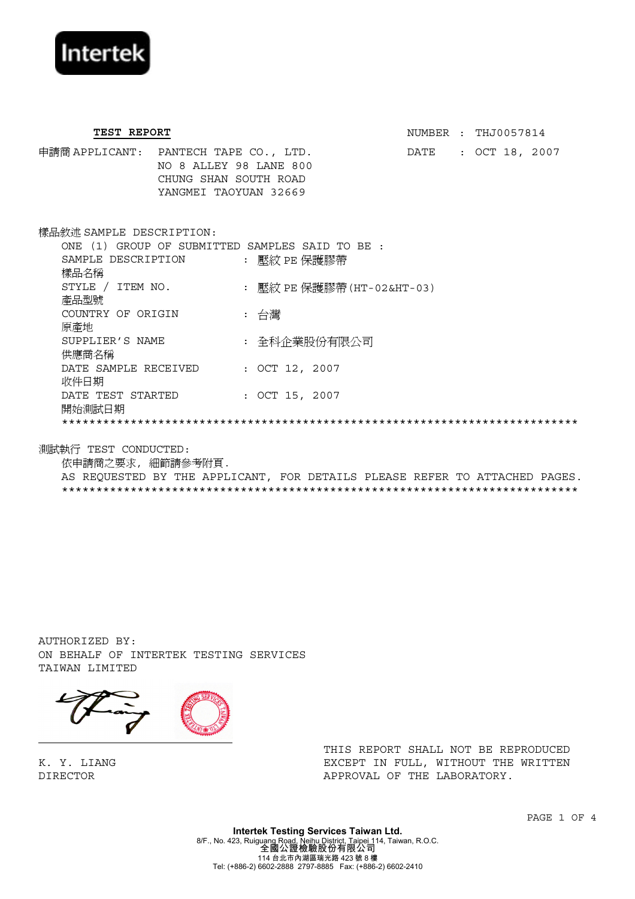

TEST REPORT **NUMBER** : THJ0057814 申請商 APPLICANT: PANTECH TAPE CO., LTD. DATE : OCT 18, 2007 NO 8 ALLEY 98 LANE 800 CHUNG SHAN SOUTH ROAD YANGMEI TAOYUAN 32669 樣品敘述 SAMPLE DESCRIPTION: ONE (1) GROUP OF SUBMITTED SAMPLES SAID TO BE : SAMPLE DESCRIPTION SAMPLE DESCRIPTION : 壓紋 PE 保護膠帶<br>樣品名稱 STYLE / ITEM NO. STYLE / ITEM NO. : 壓紋 PE 保護膠帶(HT-02&HT-03)<br>產品型號 COUNTRY OF ORIGIN 原產地 : 台灣 SUPPLIER'S NAME 供應商名稱 : 全科企業股份有限公司 DATE SAMPLE RECEIVED : OCT 12, 2007<br>收件日期 DATE TEST STARTED 開始測試日期 : OCT 15, 2007 \*\*\*\*\*\*\*\*\*\*\*\*\*\*\*\*\*\*\*\*\*\*\*\*\*\*\*\*\*\*\*\*\*\*\*\*\*\*\*\*\*\*\*\*\*\*\*\*\*\*\*\*\*\*\*\*\*\*\*\*\*\*\*\*\*\*\*\*\*\*\*\*\*\*\*

測試執行 TEST CONDUCTED:

依申請商之要求, 細節請參考附頁. AS REQUESTED BY THE APPLICANT, FOR DETAILS PLEASE REFER TO ATTACHED PAGES. \*\*\*\*\*\*\*\*\*\*\*\*\*\*\*\*\*\*\*\*\*\*\*\*\*\*\*\*\*\*\*\*\*\*\*\*\*\*\*\*\*\*\*\*\*\*\*\*\*\*\*\*\*\*\*\*\*\*\*\*\*\*\*\*\*\*\*\*\*\*\*\*\*\*\*

AUTHORIZED BY: ON BEHALF OF INTERTEK TESTING SERVICES TAIWAN LIMITED



K. Y. LIANG DIRECTOR

THIS REPORT SHALL NOT BE REPRODUCED EXCEPT IN FULL, WITHOUT THE WRITTEN APPROVAL OF THE LABORATORY.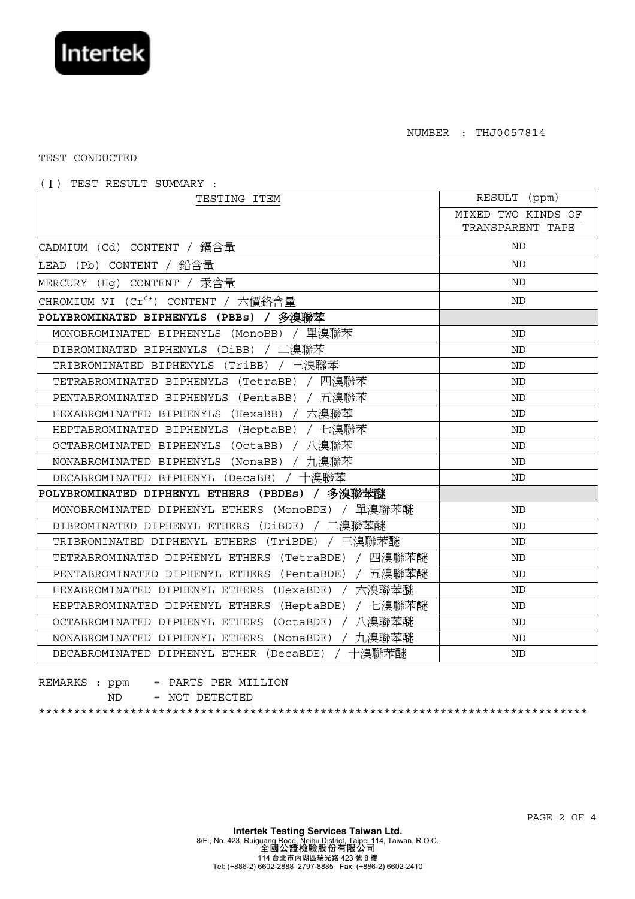

NUMBER : THJ0057814

TEST CONDUCTED

(Ⅰ) TEST RESULT SUMMARY :

| TESTING ITEM                                           | RESULT<br>(ppm)    |
|--------------------------------------------------------|--------------------|
|                                                        | MIXED TWO KINDS OF |
|                                                        | TRANSPARENT TAPE   |
| CADMIUM (Cd) CONTENT / 鎘含量                             | <b>ND</b>          |
| (Pb) CONTENT /<br>鉛含量<br>LEAD                          | <b>ND</b>          |
| (Hg) CONTENT /<br>汞含量<br>MERCURY                       | <b>ND</b>          |
| $(Cr^{6+})$ CONTENT<br>CHROMIUM VI<br>六價鉻含量            | <b>ND</b>          |
| 多溴聯苯<br>POLYBROMINATED BIPHENYLS (PBBs)                |                    |
| 單溴聯苯<br>MONOBROMINATED BIPHENYLS (MONOBB)              | <b>ND</b>          |
| / 二溴聯苯<br>DIBROMINATED BIPHENYLS (DiBB)                | <b>ND</b>          |
| / 三溴聯苯<br>TRIBROMINATED BIPHENYLS (TriBB)              | <b>ND</b>          |
| 四溴聯苯<br>TETRABROMINATED BIPHENYLS<br>(TetraBB)         | <b>ND</b>          |
| 五溴聯苯<br>PENTABROMINATED BIPHENYLS (PentaBB)            | <b>ND</b>          |
| 六溴聯苯<br>HEXABROMINATED BIPHENYLS<br>(HexaBB)           | <b>ND</b>          |
| / 七溴聯苯<br>HEPTABROMINATED BIPHENYLS<br>(HeptaBB)       | <b>ND</b>          |
| 八溴聯苯<br>OCTABROMINATED BIPHENYLS<br>(OctaBB)           | ND                 |
| 九溴聯苯<br>NONABROMINATED BIPHENYLS (NonaBB)              | ND                 |
| 十溴聯苯<br>DECABROMINATED BIPHENYL (DecaBB)               | ND                 |
| 多溴聯苯醚<br>POLYBROMINATED DIPHENYL ETHERS (PBDEs)        |                    |
| 單溴聯苯醚<br>MONOBROMINATED DIPHENYL ETHERS<br>(MonoBDE)   | <b>ND</b>          |
| 溴聯苯醚<br>DIBROMINATED DIPHENYL ETHERS (DiBDE)           | <b>ND</b>          |
| 三溴聯苯醚<br>TRIBROMINATED DIPHENYL ETHERS<br>(TriBDE)     | <b>ND</b>          |
| 四溴聯苯醚<br>TETRABROMINATED DIPHENYL ETHERS<br>(TetraBDE) | <b>ND</b>          |
| 五溴聯苯醚<br>PENTABROMINATED DIPHENYL ETHERS<br>(PentaBDE) | <b>ND</b>          |
| 六溴聯苯醚<br>HEXABROMINATED DIPHENYL ETHERS<br>(HexaBDE)   | <b>ND</b>          |
| 七溴聯苯醚<br>HEPTABROMINATED DIPHENYL ETHERS (HeptaBDE)    | <b>ND</b>          |
| 八溴聯苯醚<br>OCTABROMINATED DIPHENYL ETHERS<br>(OctaBDE)   | ND                 |
| 九溴聯苯醚<br>NONABROMINATED DIPHENYL ETHERS<br>(NonaBDE)   | <b>ND</b>          |
| 十溴聯苯醚<br>DECABROMINATED DIPHENYL ETHER<br>(DecaBDE)    | ND                 |

|  |     | REMARKS : $ppm = PARTS PER MILLION$ |
|--|-----|-------------------------------------|
|  | ND. | = NOT DETECTED                      |
|  |     |                                     |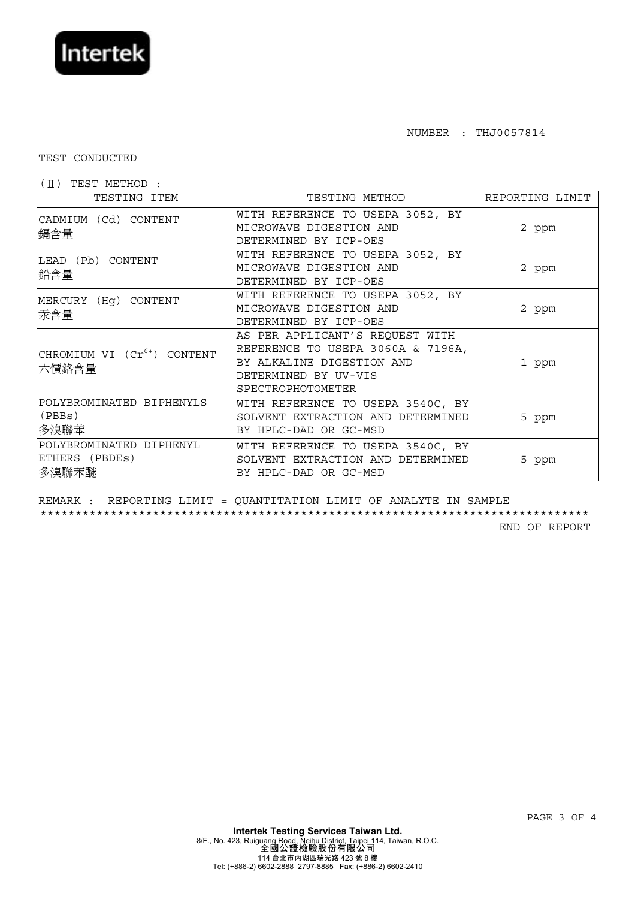

## NUMBER : THJ0057814

## TEST CONDUCTED

## (Ⅱ) TEST METHOD :

| TESTING ITEM                                       | TESTING METHOD                                                                                                                                 | REPORTING LIMIT |
|----------------------------------------------------|------------------------------------------------------------------------------------------------------------------------------------------------|-----------------|
| CADMIUM (Cd) CONTENT<br>鎘含量                        | WITH REFERENCE TO USEPA 3052, BY<br>MICROWAVE DIGESTION AND<br>DETERMINED BY ICP-OES                                                           | 2 ppm           |
| LEAD (Pb) CONTENT<br>鉛含量                           | WITH REFERENCE TO USEPA 3052, BY<br>MICROWAVE DIGESTION AND<br>DETERMINED BY ICP-OES                                                           | 2 ppm           |
| MERCURY (Hg) CONTENT<br>汞含量                        | WITH REFERENCE TO USEPA 3052, BY<br>MICROWAVE DIGESTION AND<br>DETERMINED BY ICP-OES                                                           | 2 ppm           |
| CHROMIUM VI (Cr <sup>6+</sup> ) CONTENT<br>六價鉻含量   | AS PER APPLICANT'S REQUEST WITH<br>REFERENCE TO USEPA 3060A & 7196A,<br>BY ALKALINE DIGESTION AND<br>DETERMINED BY UV-VIS<br>SPECTROPHOTOMETER | 1 ppm           |
| POLYBROMINATED BIPHENYLS<br>(PBBs)<br>多溴聯苯         | WITH REFERENCE TO USEPA 3540C, BY<br>SOLVENT EXTRACTION AND DETERMINED<br>BY HPLC-DAD OR GC-MSD                                                | 5 ppm           |
| POLYBROMINATED DIPHENYL<br>ETHERS (PBDEs)<br>多溴聯苯醚 | WITH REFERENCE TO USEPA 3540C, BY<br>SOLVENT EXTRACTION AND DETERMINED<br>BY HPLC-DAD OR GC-MSD                                                | 5 ppm           |

REMARK : REPORTING LIMIT = QUANTITATION LIMIT OF ANALYTE IN SAMPLE \*\*\*\*\*\*\*\*\*\*\*\*\*\*\*\*\*\*\*\*\*\*\*\*\*\*\*\*\*\*\*\*\*\*\*\*\*\*\*\*\*\*\*\*\*\*\*\*\*\*\*\*\*\*\*\*\*\*\*\*\*\*\*\*\*\*\*\*\*\*\*\*\*\*\*\*\*\*

END OF REPORT